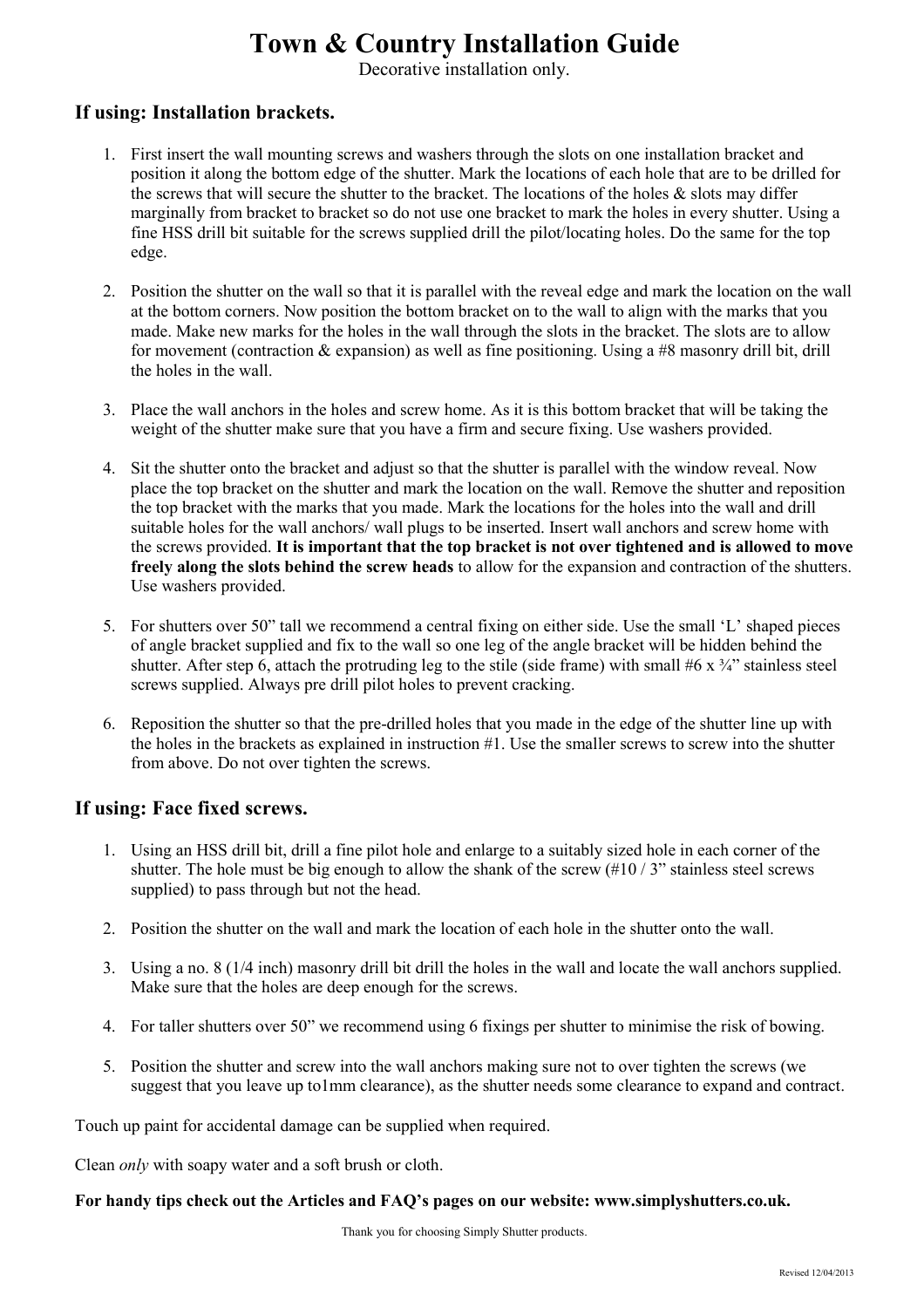## **Town & Country Installation Guide**

Decorative installation only.

## **If using: Installation brackets.**

- 1. First insert the wall mounting screws and washers through the slots on one installation bracket and position it along the bottom edge of the shutter. Mark the locations of each hole that are to be drilled for the screws that will secure the shutter to the bracket. The locations of the holes  $\&$  slots may differ marginally from bracket to bracket so do not use one bracket to mark the holes in every shutter. Using a fine HSS drill bit suitable for the screws supplied drill the pilot/locating holes. Do the same for the top edge.
- 2. Position the shutter on the wall so that it is parallel with the reveal edge and mark the location on the wall at the bottom corners. Now position the bottom bracket on to the wall to align with the marks that you made. Make new marks for the holes in the wall through the slots in the bracket. The slots are to allow for movement (contraction  $&$  expansion) as well as fine positioning. Using a #8 masonry drill bit, drill the holes in the wall.
- 3. Place the wall anchors in the holes and screw home. As it is this bottom bracket that will be taking the weight of the shutter make sure that you have a firm and secure fixing. Use washers provided.
- 4. Sit the shutter onto the bracket and adjust so that the shutter is parallel with the window reveal. Now place the top bracket on the shutter and mark the location on the wall. Remove the shutter and reposition the top bracket with the marks that you made. Mark the locations for the holes into the wall and drill suitable holes for the wall anchors/ wall plugs to be inserted. Insert wall anchors and screw home with the screws provided. **It is important that the top bracket is not over tightened and is allowed to move freely along the slots behind the screw heads** to allow for the expansion and contraction of the shutters. Use washers provided.
- 5. For shutters over 50" tall we recommend a central fixing on either side. Use the small 'L' shaped pieces of angle bracket supplied and fix to the wall so one leg of the angle bracket will be hidden behind the shutter. After step 6, attach the protruding leg to the stile (side frame) with small #6 x  $\frac{3}{4}$ " stainless steel screws supplied. Always pre drill pilot holes to prevent cracking.
- 6. Reposition the shutter so that the pre-drilled holes that you made in the edge of the shutter line up with the holes in the brackets as explained in instruction #1. Use the smaller screws to screw into the shutter from above. Do not over tighten the screws.

## **If using: Face fixed screws.**

- 1. Using an HSS drill bit, drill a fine pilot hole and enlarge to a suitably sized hole in each corner of the shutter. The hole must be big enough to allow the shank of the screw  $(\#10 / 3"$  stainless steel screws supplied) to pass through but not the head.
- 2. Position the shutter on the wall and mark the location of each hole in the shutter onto the wall.
- 3. Using a no. 8 (1/4 inch) masonry drill bit drill the holes in the wall and locate the wall anchors supplied. Make sure that the holes are deep enough for the screws.
- 4. For taller shutters over 50" we recommend using 6 fixings per shutter to minimise the risk of bowing.
- 5. Position the shutter and screw into the wall anchors making sure not to over tighten the screws (we suggest that you leave up to1mm clearance), as the shutter needs some clearance to expand and contract.

Touch up paint for accidental damage can be supplied when required.

Clean *only* with soapy water and a soft brush or cloth.

**For handy tips check out the Articles and FAQ's pages on our website: www.simplyshutters.co.uk.**